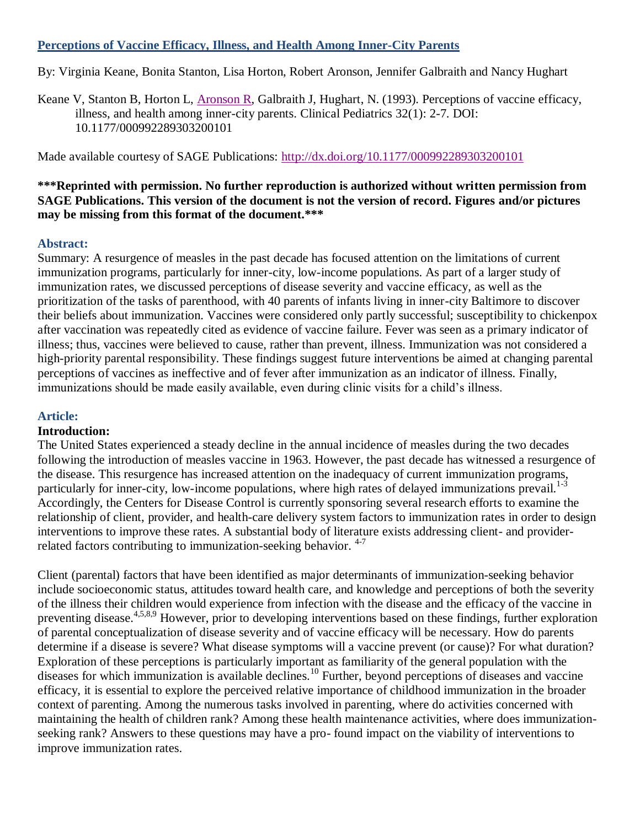## **Perceptions of Vaccine Efficacy, Illness, and Health Among Inner-City Parents**

By: Virginia Keane, Bonita Stanton, Lisa Horton, Robert Aronson, Jennifer Galbraith and Nancy Hughart

Keane V, Stanton B, Horton L, [Aronson R,](http://libres.uncg.edu/ir/uncg/clist.aspx?id=1412) Galbraith J, Hughart, N. (1993). Perceptions of vaccine efficacy, illness, and health among inner-city parents. Clinical Pediatrics 32(1): 2-7. DOI: 10.1177/000992289303200101

Made available courtesy of SAGE Publications:<http://dx.doi.org/10.1177/000992289303200101>

#### **\*\*\*Reprinted with permission. No further reproduction is authorized without written permission from SAGE Publications. This version of the document is not the version of record. Figures and/or pictures may be missing from this format of the document.\*\*\***

#### **Abstract:**

Summary: A resurgence of measles in the past decade has focused attention on the limitations of current immunization programs, particularly for inner-city, low-income populations. As part of a larger study of immunization rates, we discussed perceptions of disease severity and vaccine efficacy, as well as the prioritization of the tasks of parenthood, with 40 parents of infants living in inner-city Baltimore to discover their beliefs about immunization. Vaccines were considered only partly successful; susceptibility to chickenpox after vaccination was repeatedly cited as evidence of vaccine failure. Fever was seen as a primary indicator of illness; thus, vaccines were believed to cause, rather than prevent, illness. Immunization was not considered a high-priority parental responsibility. These findings suggest future interventions be aimed at changing parental perceptions of vaccines as ineffective and of fever after immunization as an indicator of illness. Finally, immunizations should be made easily available, even during clinic visits for a child's illness.

## **Article:**

## **Introduction:**

The United States experienced a steady decline in the annual incidence of measles during the two decades following the introduction of measles vaccine in 1963. However, the past decade has witnessed a resurgence of the disease. This resurgence has increased attention on the inadequacy of current immunization programs, particularly for inner-city, low-income populations, where high rates of delayed immunizations prevail.<sup>1-3</sup> Accordingly, the Centers for Disease Control is currently sponsoring several research efforts to examine the relationship of client, provider, and health-care delivery system factors to immunization rates in order to design interventions to improve these rates. A substantial body of literature exists addressing client- and providerrelated factors contributing to immunization-seeking behavior. <sup>4-7</sup>

Client (parental) factors that have been identified as major determinants of immunization-seeking behavior include socioeconomic status, attitudes toward health care, and knowledge and perceptions of both the severity of the illness their children would experience from infection with the disease and the efficacy of the vaccine in preventing disease.<sup>4,5,8,9</sup> However, prior to developing interventions based on these findings, further exploration of parental conceptualization of disease severity and of vaccine efficacy will be necessary. How do parents determine if a disease is severe? What disease symptoms will a vaccine prevent (or cause)? For what duration? Exploration of these perceptions is particularly important as familiarity of the general population with the diseases for which immunization is available declines.<sup>10</sup> Further, beyond perceptions of diseases and vaccine efficacy, it is essential to explore the perceived relative importance of childhood immunization in the broader context of parenting. Among the numerous tasks involved in parenting, where do activities concerned with maintaining the health of children rank? Among these health maintenance activities, where does immunizationseeking rank? Answers to these questions may have a pro- found impact on the viability of interventions to improve immunization rates.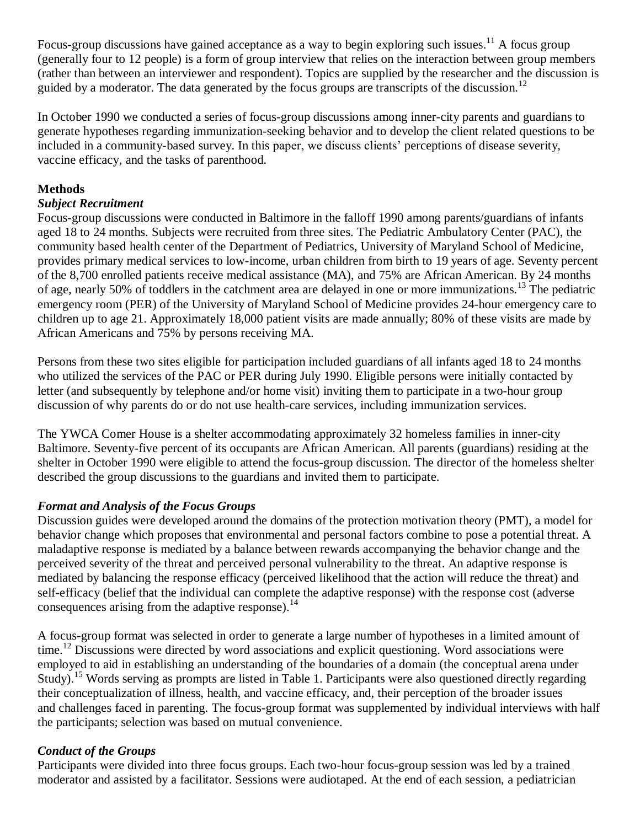Focus-group discussions have gained acceptance as a way to begin exploring such issues.<sup>11</sup> A focus group (generally four to 12 people) is a form of group interview that relies on the interaction between group members (rather than between an interviewer and respondent). Topics are supplied by the researcher and the discussion is guided by a moderator. The data generated by the focus groups are transcripts of the discussion.<sup>12</sup>

In October 1990 we conducted a series of focus-group discussions among inner-city parents and guardians to generate hypotheses regarding immunization-seeking behavior and to develop the client related questions to be included in a community-based survey. In this paper, we discuss clients" perceptions of disease severity, vaccine efficacy, and the tasks of parenthood.

# **Methods**

# *Subject Recruitment*

Focus-group discussions were conducted in Baltimore in the falloff 1990 among parents/guardians of infants aged 18 to 24 months. Subjects were recruited from three sites. The Pediatric Ambulatory Center (PAC), the community based health center of the Department of Pediatrics, University of Maryland School of Medicine, provides primary medical services to low-income, urban children from birth to 19 years of age. Seventy percent of the 8,700 enrolled patients receive medical assistance (MA), and 75% are African American. By 24 months of age, nearly 50% of toddlers in the catchment area are delayed in one or more immunizations.<sup>13</sup> The pediatric emergency room (PER) of the University of Maryland School of Medicine provides 24-hour emergency care to children up to age 21. Approximately 18,000 patient visits are made annually; 80% of these visits are made by African Americans and 75% by persons receiving MA.

Persons from these two sites eligible for participation included guardians of all infants aged 18 to 24 months who utilized the services of the PAC or PER during July 1990. Eligible persons were initially contacted by letter (and subsequently by telephone and/or home visit) inviting them to participate in a two-hour group discussion of why parents do or do not use health-care services, including immunization services.

The YWCA Comer House is a shelter accommodating approximately 32 homeless families in inner-city Baltimore. Seventy-five percent of its occupants are African American. All parents (guardians) residing at the shelter in October 1990 were eligible to attend the focus-group discussion. The director of the homeless shelter described the group discussions to the guardians and invited them to participate.

## *Format and Analysis of the Focus Groups*

Discussion guides were developed around the domains of the protection motivation theory (PMT), a model for behavior change which proposes that environmental and personal factors combine to pose a potential threat. A maladaptive response is mediated by a balance between rewards accompanying the behavior change and the perceived severity of the threat and perceived personal vulnerability to the threat. An adaptive response is mediated by balancing the response efficacy (perceived likelihood that the action will reduce the threat) and self-efficacy (belief that the individual can complete the adaptive response) with the response cost (adverse consequences arising from the adaptive response). $^{14}$ 

A focus-group format was selected in order to generate a large number of hypotheses in a limited amount of time.<sup>12</sup> Discussions were directed by word associations and explicit questioning. Word associations were employed to aid in establishing an understanding of the boundaries of a domain (the conceptual arena under Study).<sup>15</sup> Words serving as prompts are listed in Table 1. Participants were also questioned directly regarding their conceptualization of illness, health, and vaccine efficacy, and, their perception of the broader issues and challenges faced in parenting. The focus-group format was supplemented by individual interviews with half the participants; selection was based on mutual convenience.

# *Conduct of the Groups*

Participants were divided into three focus groups. Each two-hour focus-group session was led by a trained moderator and assisted by a facilitator. Sessions were audiotaped. At the end of each session, a pediatrician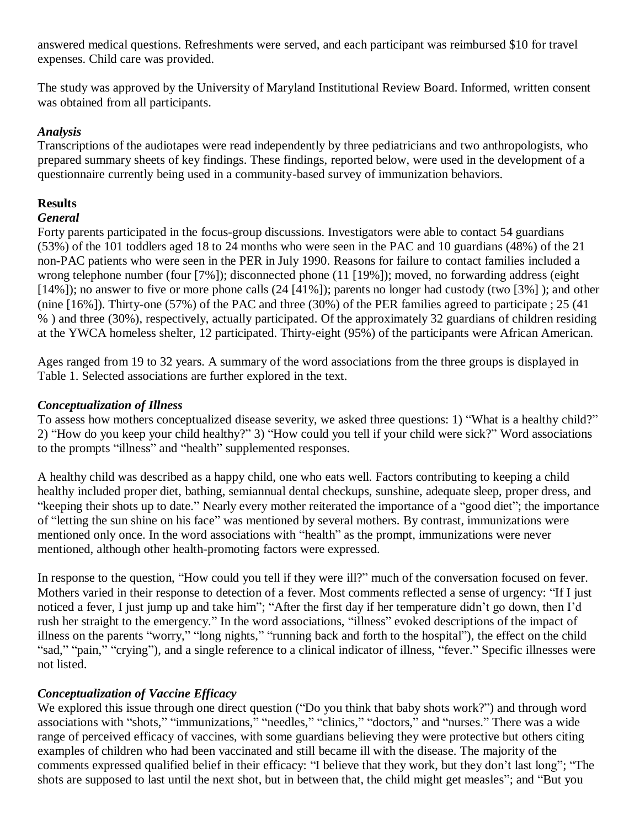answered medical questions. Refreshments were served, and each participant was reimbursed \$10 for travel expenses. Child care was provided.

The study was approved by the University of Maryland Institutional Review Board. Informed, written consent was obtained from all participants.

# *Analysis*

Transcriptions of the audiotapes were read independently by three pediatricians and two anthropologists, who prepared summary sheets of key findings. These findings, reported below, were used in the development of a questionnaire currently being used in a community-based survey of immunization behaviors.

# **Results**

# *General*

Forty parents participated in the focus-group discussions. Investigators were able to contact 54 guardians (53%) of the 101 toddlers aged 18 to 24 months who were seen in the PAC and 10 guardians (48%) of the 21 non-PAC patients who were seen in the PER in July 1990. Reasons for failure to contact families included a wrong telephone number (four [7%]); disconnected phone (11 [19%]); moved, no forwarding address (eight [14%]); no answer to five or more phone calls (24 [41%]); parents no longer had custody (two [3%]); and other (nine [16%]). Thirty-one (57%) of the PAC and three (30%) of the PER families agreed to participate ; 25 (41 % ) and three (30%), respectively, actually participated. Of the approximately 32 guardians of children residing at the YWCA homeless shelter, 12 participated. Thirty-eight (95%) of the participants were African American.

Ages ranged from 19 to 32 years. A summary of the word associations from the three groups is displayed in Table 1. Selected associations are further explored in the text.

# *Conceptualization of Illness*

To assess how mothers conceptualized disease severity, we asked three questions: 1) "What is a healthy child?" 2) "How do you keep your child healthy?" 3) "How could you tell if your child were sick?" Word associations to the prompts "illness" and "health" supplemented responses.

A healthy child was described as a happy child, one who eats well. Factors contributing to keeping a child healthy included proper diet, bathing, semiannual dental checkups, sunshine, adequate sleep, proper dress, and "keeping their shots up to date." Nearly every mother reiterated the importance of a "good diet"; the importance of "letting the sun shine on his face" was mentioned by several mothers. By contrast, immunizations were mentioned only once. In the word associations with "health" as the prompt, immunizations were never mentioned, although other health-promoting factors were expressed.

In response to the question, "How could you tell if they were ill?" much of the conversation focused on fever. Mothers varied in their response to detection of a fever. Most comments reflected a sense of urgency: "If I just noticed a fever, I just jump up and take him"; "After the first day if her temperature didn"t go down, then I"d rush her straight to the emergency." In the word associations, "illness" evoked descriptions of the impact of illness on the parents "worry," "long nights," "running back and forth to the hospital"), the effect on the child "sad," "pain," "crying"), and a single reference to a clinical indicator of illness, "fever." Specific illnesses were not listed.

# *Conceptualization of Vaccine Efficacy*

We explored this issue through one direct question ("Do you think that baby shots work?") and through word associations with "shots," "immunizations," "needles," "clinics," "doctors," and "nurses." There was a wide range of perceived efficacy of vaccines, with some guardians believing they were protective but others citing examples of children who had been vaccinated and still became ill with the disease. The majority of the comments expressed qualified belief in their efficacy: "I believe that they work, but they don"t last long"; "The shots are supposed to last until the next shot, but in between that, the child might get measles"; and "But you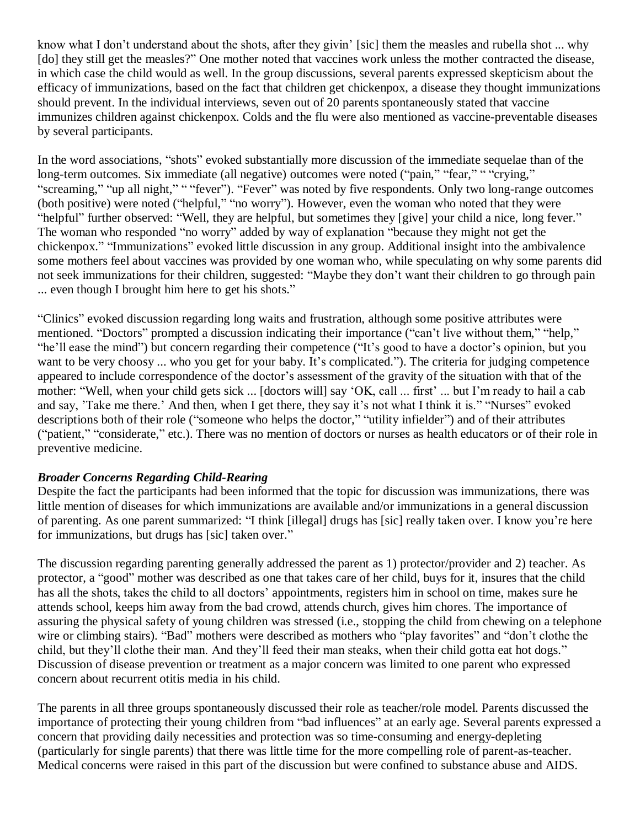know what I don't understand about the shots, after they givin' [sic] them the measles and rubella shot ... why [do] they still get the measles?" One mother noted that vaccines work unless the mother contracted the disease, in which case the child would as well. In the group discussions, several parents expressed skepticism about the efficacy of immunizations, based on the fact that children get chickenpox, a disease they thought immunizations should prevent. In the individual interviews, seven out of 20 parents spontaneously stated that vaccine immunizes children against chickenpox. Colds and the flu were also mentioned as vaccine-preventable diseases by several participants.

In the word associations, "shots" evoked substantially more discussion of the immediate sequelae than of the long-term outcomes. Six immediate (all negative) outcomes were noted ("pain," "fear," " "crying," "screaming," "up all night," " "fever"). "Fever" was noted by five respondents. Only two long-range outcomes (both positive) were noted ("helpful," "no worry"). However, even the woman who noted that they were "helpful" further observed: "Well, they are helpful, but sometimes they [give] your child a nice, long fever." The woman who responded "no worry" added by way of explanation "because they might not get the chickenpox." "Immunizations" evoked little discussion in any group. Additional insight into the ambivalence some mothers feel about vaccines was provided by one woman who, while speculating on why some parents did not seek immunizations for their children, suggested: "Maybe they don"t want their children to go through pain ... even though I brought him here to get his shots."

"Clinics" evoked discussion regarding long waits and frustration, although some positive attributes were mentioned. "Doctors" prompted a discussion indicating their importance ("can"t live without them," "help," "he"ll ease the mind") but concern regarding their competence ("It"s good to have a doctor"s opinion, but you want to be very choosy ... who you get for your baby. It's complicated."). The criteria for judging competence appeared to include correspondence of the doctor"s assessment of the gravity of the situation with that of the mother: "Well, when your child gets sick ... [doctors will] say 'OK, call ... first' ... but I'm ready to hail a cab and say, 'Take me there.' And then, when I get there, they say it's not what I think it is." "Nurses" evoked descriptions both of their role ("someone who helps the doctor," "utility infielder") and of their attributes ("patient," "considerate," etc.). There was no mention of doctors or nurses as health educators or of their role in preventive medicine.

## *Broader Concerns Regarding Child-Rearing*

Despite the fact the participants had been informed that the topic for discussion was immunizations, there was little mention of diseases for which immunizations are available and/or immunizations in a general discussion of parenting. As one parent summarized: "I think [illegal] drugs has [sic] really taken over. I know you"re here for immunizations, but drugs has [sic] taken over."

The discussion regarding parenting generally addressed the parent as 1) protector/provider and 2) teacher. As protector, a "good" mother was described as one that takes care of her child, buys for it, insures that the child has all the shots, takes the child to all doctors' appointments, registers him in school on time, makes sure he attends school, keeps him away from the bad crowd, attends church, gives him chores. The importance of assuring the physical safety of young children was stressed (i.e., stopping the child from chewing on a telephone wire or climbing stairs). "Bad" mothers were described as mothers who "play favorites" and "don't clothe the child, but they"ll clothe their man. And they"ll feed their man steaks, when their child gotta eat hot dogs." Discussion of disease prevention or treatment as a major concern was limited to one parent who expressed concern about recurrent otitis media in his child.

The parents in all three groups spontaneously discussed their role as teacher/role model. Parents discussed the importance of protecting their young children from "bad influences" at an early age. Several parents expressed a concern that providing daily necessities and protection was so time-consuming and energy-depleting (particularly for single parents) that there was little time for the more compelling role of parent-as-teacher. Medical concerns were raised in this part of the discussion but were confined to substance abuse and AIDS.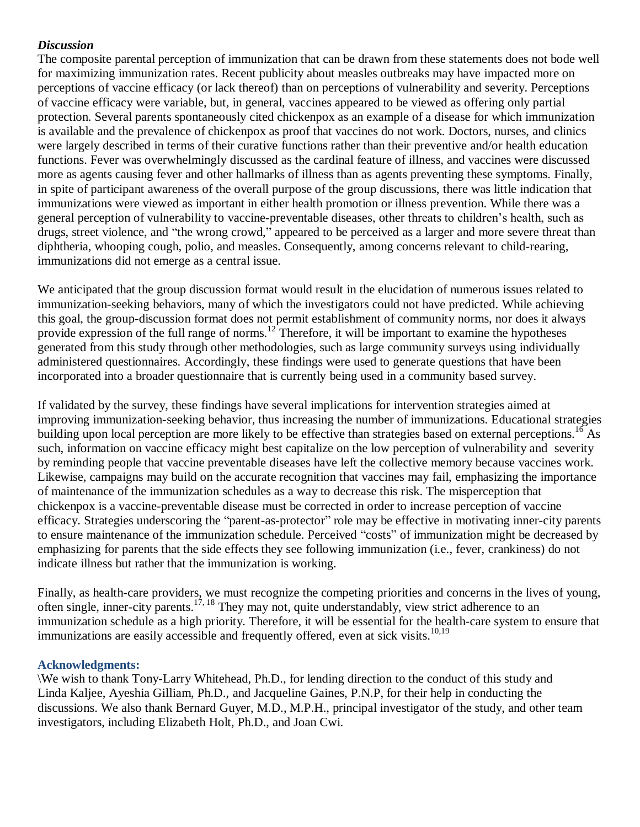## *Discussion*

The composite parental perception of immunization that can be drawn from these statements does not bode well for maximizing immunization rates. Recent publicity about measles outbreaks may have impacted more on perceptions of vaccine efficacy (or lack thereof) than on perceptions of vulnerability and severity. Perceptions of vaccine efficacy were variable, but, in general, vaccines appeared to be viewed as offering only partial protection. Several parents spontaneously cited chickenpox as an example of a disease for which immunization is available and the prevalence of chickenpox as proof that vaccines do not work. Doctors, nurses, and clinics were largely described in terms of their curative functions rather than their preventive and/or health education functions. Fever was overwhelmingly discussed as the cardinal feature of illness, and vaccines were discussed more as agents causing fever and other hallmarks of illness than as agents preventing these symptoms. Finally, in spite of participant awareness of the overall purpose of the group discussions, there was little indication that immunizations were viewed as important in either health promotion or illness prevention. While there was a general perception of vulnerability to vaccine-preventable diseases, other threats to children"s health, such as drugs, street violence, and "the wrong crowd," appeared to be perceived as a larger and more severe threat than diphtheria, whooping cough, polio, and measles. Consequently, among concerns relevant to child-rearing, immunizations did not emerge as a central issue.

We anticipated that the group discussion format would result in the elucidation of numerous issues related to immunization-seeking behaviors, many of which the investigators could not have predicted. While achieving this goal, the group-discussion format does not permit establishment of community norms, nor does it always provide expression of the full range of norms.<sup>12</sup> Therefore, it will be important to examine the hypotheses generated from this study through other methodologies, such as large community surveys using individually administered questionnaires. Accordingly, these findings were used to generate questions that have been incorporated into a broader questionnaire that is currently being used in a community based survey.

If validated by the survey, these findings have several implications for intervention strategies aimed at improving immunization-seeking behavior, thus increasing the number of immunizations. Educational strategies building upon local perception are more likely to be effective than strategies based on external perceptions.<sup>16</sup> As such, information on vaccine efficacy might best capitalize on the low perception of vulnerability and severity by reminding people that vaccine preventable diseases have left the collective memory because vaccines work. Likewise, campaigns may build on the accurate recognition that vaccines may fail, emphasizing the importance of maintenance of the immunization schedules as a way to decrease this risk. The misperception that chickenpox is a vaccine-preventable disease must be corrected in order to increase perception of vaccine efficacy. Strategies underscoring the "parent-as-protector" role may be effective in motivating inner-city parents to ensure maintenance of the immunization schedule. Perceived "costs" of immunization might be decreased by emphasizing for parents that the side effects they see following immunization (i.e., fever, crankiness) do not indicate illness but rather that the immunization is working.

Finally, as health-care providers, we must recognize the competing priorities and concerns in the lives of young, often single, inner-city parents.<sup>17, 18</sup> They may not, quite understandably, view strict adherence to an immunization schedule as a high priority. Therefore, it will be essential for the health-care system to ensure that immunizations are easily accessible and frequently offered, even at sick visits.<sup>10,19</sup>

## **Acknowledgments:**

\We wish to thank Tony-Larry Whitehead, Ph.D., for lending direction to the conduct of this study and Linda Kaljee, Ayeshia Gilliam, Ph.D., and Jacqueline Gaines, P.N.P, for their help in conducting the discussions. We also thank Bernard Guyer, M.D., M.P.H., principal investigator of the study, and other team investigators, including Elizabeth Holt, Ph.D., and Joan Cwi.